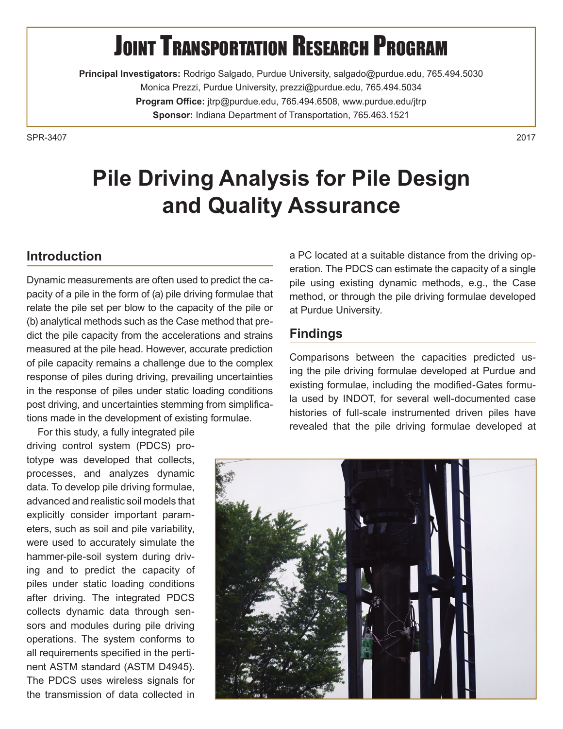# **JOINT TRANSPORTATION RESEARCH PROGRAM**

**Principal Investigators:** Rodrigo Salgado, Purdue University, salgado@purdue.edu, 765.494.5030 Monica Prezzi, Purdue University, prezzi@purdue.edu, 765.494.5034 Program Office: jtrp@purdue.edu, 765.494.6508, www.purdue.edu/jtrp **Sponsor:** Indiana Department of Transportation, 765.463.1521

SPR-34072017

## **Pile Driving Analysis for Pile Design and Quality Assurance**

#### **Introduction**

Dynamic measurements are often used to predict the capacity of a pile in the form of (a) pile driving formulae that relate the pile set per blow to the capacity of the pile or (b) analytical methods such as the Case method that predict the pile capacity from the accelerations and strains measured at the pile head. However, accurate prediction of pile capacity remains a challenge due to the complex response of piles during driving, prevailing uncertainties in the response of piles under static loading conditions post driving, and uncertainties stemming from simplifications made in the development of existing formulae.

For this study, a fully integrated pile driving control system (PDCS) prototype was developed that collects, processes, and analyzes dynamic data. To develop pile driving formulae, advanced and realistic soil models that explicitly consider important parameters, such as soil and pile variability, were used to accurately simulate the hammer-pile-soil system during driving and to predict the capacity of piles under static loading conditions after driving. The integrated PDCS collects dynamic data through sensors and modules during pile driving operations. The system conforms to all requirements specified in the pertinent ASTM standard (ASTM D4945). The PDCS uses wireless signals for the transmission of data collected in

a PC located at a suitable distance from the driving operation. The PDCS can estimate the capacity of a single pile using existing dynamic methods, e.g., the Case method, or through the pile driving formulae developed at Purdue University.

#### **Findings**

Comparisons between the capacities predicted using the pile driving formulae developed at Purdue and existing formulae, including the modified-Gates formula used by INDOT, for several well-documented case histories of full-scale instrumented driven piles have revealed that the pile driving formulae developed at